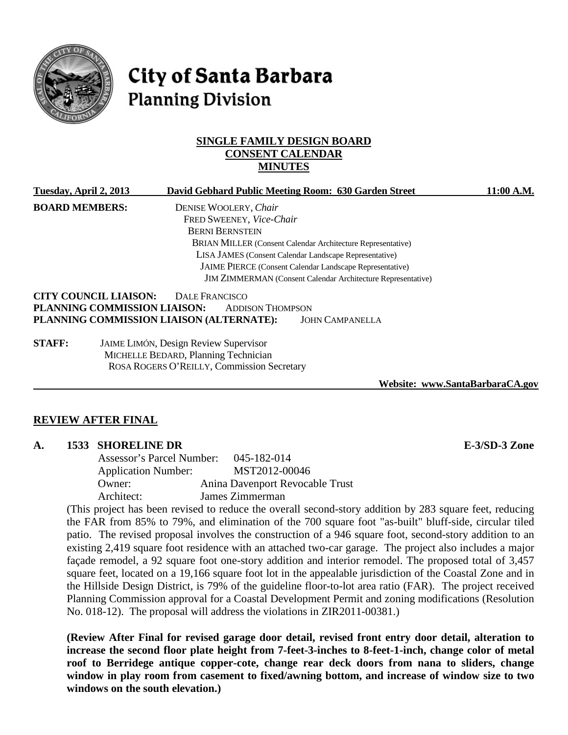

# City of Santa Barbara **Planning Division**

## **SINGLE FAMILY DESIGN BOARD CONSENT CALENDAR MINUTES**

| Tuesday, April 2, 2013 |                                              |                                                                                              |                          | David Gebhard Public Meeting Room: 630 Garden Street            | 11:00 A.M. |  |
|------------------------|----------------------------------------------|----------------------------------------------------------------------------------------------|--------------------------|-----------------------------------------------------------------|------------|--|
| <b>BOARD MEMBERS:</b>  |                                              |                                                                                              | DENISE WOOLERY, Chair    |                                                                 |            |  |
|                        |                                              |                                                                                              | FRED SWEENEY, Vice-Chair |                                                                 |            |  |
|                        |                                              | <b>BERNI BERNSTEIN</b><br><b>BRIAN MILLER (Consent Calendar Architecture Representative)</b> |                          |                                                                 |            |  |
|                        |                                              |                                                                                              |                          |                                                                 |            |  |
|                        |                                              |                                                                                              |                          |                                                                 |            |  |
|                        |                                              |                                                                                              |                          | <b>JAIME PIERCE</b> (Consent Calendar Landscape Representative) |            |  |
|                        |                                              | <b>JIM ZIMMERMAN</b> (Consent Calendar Architecture Representative)                          |                          |                                                                 |            |  |
|                        | <b>CITY COUNCIL LIAISON:</b>                 | DALE FRANCISCO                                                                               |                          |                                                                 |            |  |
|                        | PLANNING COMMISSION LIAISON:                 |                                                                                              | <b>ADDISON THOMPSON</b>  |                                                                 |            |  |
|                        | PLANNING COMMISSION LIAISON (ALTERNATE):     |                                                                                              |                          | <b>JOHN CAMPANELLA</b>                                          |            |  |
| <b>STAFF:</b>          | <b>JAIME LIMÓN, Design Review Supervisor</b> |                                                                                              |                          |                                                                 |            |  |

MICHELLE BEDARD, Planning Technician ROSA ROGERS O'REILLY, Commission Secretary

**Website: www.SantaBarbaraCA.gov**

#### **REVIEW AFTER FINAL**

#### **A. 1533 SHORELINE DR E-3/SD-3 Zone**

Assessor's Parcel Number: 045-182-014 Application Number: MST2012-00046 Owner: Anina Davenport Revocable Trust Architect: James Zimmerman

(This project has been revised to reduce the overall second-story addition by 283 square feet, reducing the FAR from 85% to 79%, and elimination of the 700 square foot "as-built" bluff-side, circular tiled patio. The revised proposal involves the construction of a 946 square foot, second-story addition to an existing 2,419 square foot residence with an attached two-car garage. The project also includes a major façade remodel, a 92 square foot one-story addition and interior remodel. The proposed total of 3,457 square feet, located on a 19,166 square foot lot in the appealable jurisdiction of the Coastal Zone and in the Hillside Design District, is 79% of the guideline floor-to-lot area ratio (FAR). The project received Planning Commission approval for a Coastal Development Permit and zoning modifications (Resolution No. 018-12). The proposal will address the violations in ZIR2011-00381.)

**(Review After Final for revised garage door detail, revised front entry door detail, alteration to increase the second floor plate height from 7-feet-3-inches to 8-feet-1-inch, change color of metal roof to Berridege antique copper-cote, change rear deck doors from nana to sliders, change window in play room from casement to fixed/awning bottom, and increase of window size to two windows on the south elevation.)**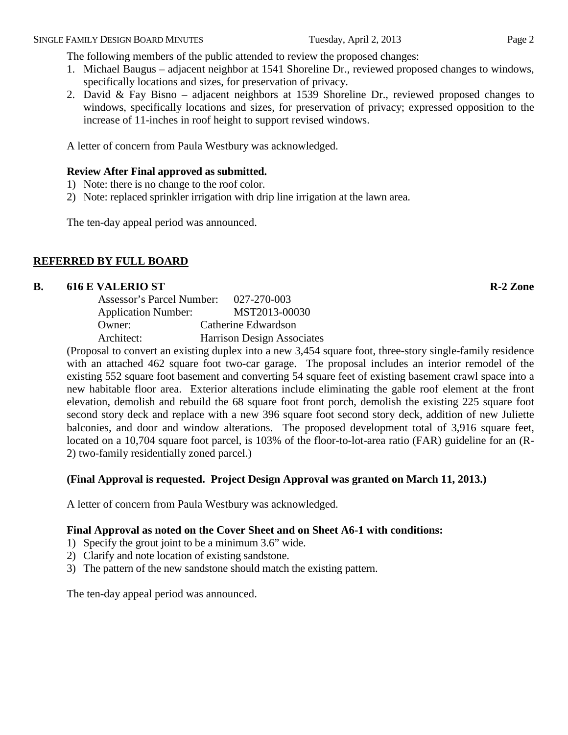The following members of the public attended to review the proposed changes:

- 1. Michael Baugus adjacent neighbor at 1541 Shoreline Dr., reviewed proposed changes to windows, specifically locations and sizes, for preservation of privacy.
- 2. David & Fay Bisno adjacent neighbors at 1539 Shoreline Dr., reviewed proposed changes to windows, specifically locations and sizes, for preservation of privacy; expressed opposition to the increase of 11-inches in roof height to support revised windows.

A letter of concern from Paula Westbury was acknowledged.

# **Review After Final approved as submitted.**

- 1) Note: there is no change to the roof color.
- 2) Note: replaced sprinkler irrigation with drip line irrigation at the lawn area.

The ten-day appeal period was announced.

# **REFERRED BY FULL BOARD**

## **B. 616 E VALERIO ST R-2 Zone**

| Assessor's Parcel Number:  | 027-270-003                       |
|----------------------------|-----------------------------------|
| <b>Application Number:</b> | MST2013-00030                     |
| Owner:                     | Catherine Edwardson               |
| Architect:                 | <b>Harrison Design Associates</b> |
|                            |                                   |

(Proposal to convert an existing duplex into a new 3,454 square foot, three-story single-family residence with an attached 462 square foot two-car garage. The proposal includes an interior remodel of the existing 552 square foot basement and converting 54 square feet of existing basement crawl space into a new habitable floor area. Exterior alterations include eliminating the gable roof element at the front elevation, demolish and rebuild the 68 square foot front porch, demolish the existing 225 square foot second story deck and replace with a new 396 square foot second story deck, addition of new Juliette balconies, and door and window alterations. The proposed development total of 3,916 square feet, located on a 10,704 square foot parcel, is 103% of the floor-to-lot-area ratio (FAR) guideline for an (R-2) two-family residentially zoned parcel.)

# **(Final Approval is requested. Project Design Approval was granted on March 11, 2013.)**

A letter of concern from Paula Westbury was acknowledged.

# **Final Approval as noted on the Cover Sheet and on Sheet A6-1 with conditions:**

- 1) Specify the grout joint to be a minimum 3.6" wide.
- 2) Clarify and note location of existing sandstone.
- 3) The pattern of the new sandstone should match the existing pattern.

The ten-day appeal period was announced.